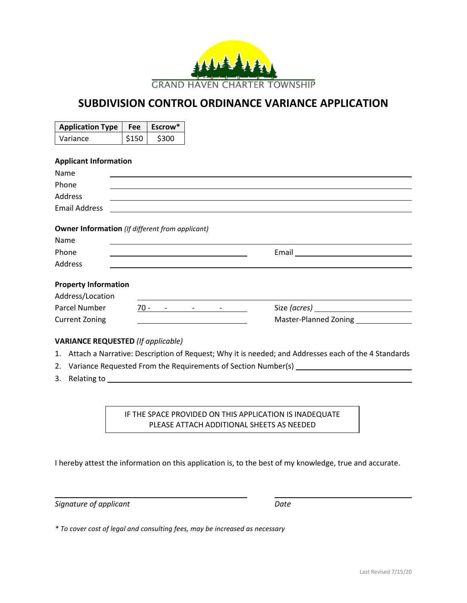

## **SUBDIVISION CONTROL ORDINANCE VARIANCE APPLICATION**

| <b>Application Type</b>                                        | Fee   | Escrow* |                     |                                                                                                                |
|----------------------------------------------------------------|-------|---------|---------------------|----------------------------------------------------------------------------------------------------------------|
| Variance                                                       | \$150 | \$300   |                     |                                                                                                                |
|                                                                |       |         |                     |                                                                                                                |
| <b>Applicant Information</b>                                   |       |         |                     |                                                                                                                |
| Name                                                           |       |         |                     |                                                                                                                |
| Phone                                                          |       |         |                     |                                                                                                                |
| Address                                                        |       |         |                     |                                                                                                                |
| <b>Email Address</b>                                           |       |         |                     |                                                                                                                |
| <b>Owner Information</b> (If different from applicant)<br>Name |       |         |                     |                                                                                                                |
| Phone<br>Address                                               |       |         |                     | Email 2008 2010 2021 2022 2023 2024 2022 2022 2023 2024 2022 2023 2024 2022 2023 2024 2022 2023 2024 2025 2026 |
| <b>Property Information</b>                                    |       |         |                     |                                                                                                                |
|                                                                |       |         |                     |                                                                                                                |
| Address/Location<br>Parcel Number                              |       |         | $70 - 70 - 70 = 70$ | Size (acres)                                                                                                   |

- 
- 2. Variance Requested From the Requirements of Section Number(s) \_\_\_\_\_\_\_\_\_\_\_\_\_\_\_
- 3. Relating to

## IF THE SPACE PROVIDED ON THIS APPLICATION IS INADEQUATE PLEASE ATTACH ADDITIONAL SHEETS AS NEEDED

I hereby attest the information on this application is, to the best of my knowledge, true and accurate.

*Signature of applicant Date*

*\* To cover cost of legal and consulting fees, may be increased as necessary*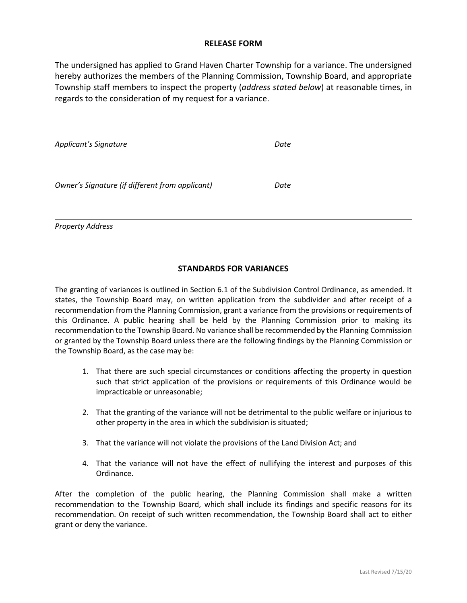## **RELEASE FORM**

The undersigned has applied to Grand Haven Charter Township for a variance. The undersigned hereby authorizes the members of the Planning Commission, Township Board, and appropriate Township staff members to inspect the property (*address stated below*) at reasonable times, in regards to the consideration of my request for a variance.

| Applicant's Signature                           | Date |  |
|-------------------------------------------------|------|--|
|                                                 |      |  |
| Owner's Signature (if different from applicant) | Date |  |

*Property Address*

## **STANDARDS FOR VARIANCES**

The granting of variances is outlined in Section 6.1 of the Subdivision Control Ordinance, as amended. It states, the Township Board may, on written application from the subdivider and after receipt of a recommendation from the Planning Commission, grant a variance from the provisions or requirements of this Ordinance. A public hearing shall be held by the Planning Commission prior to making its recommendation to the Township Board. No variance shall be recommended by the Planning Commission or granted by the Township Board unless there are the following findings by the Planning Commission or the Township Board, as the case may be:

- 1. That there are such special circumstances or conditions affecting the property in question such that strict application of the provisions or requirements of this Ordinance would be impracticable or unreasonable;
- 2. That the granting of the variance will not be detrimental to the public welfare or injurious to other property in the area in which the subdivision is situated;
- 3. That the variance will not violate the provisions of the Land Division Act; and
- 4. That the variance will not have the effect of nullifying the interest and purposes of this Ordinance.

After the completion of the public hearing, the Planning Commission shall make a written recommendation to the Township Board, which shall include its findings and specific reasons for its recommendation. On receipt of such written recommendation, the Township Board shall act to either grant or deny the variance.